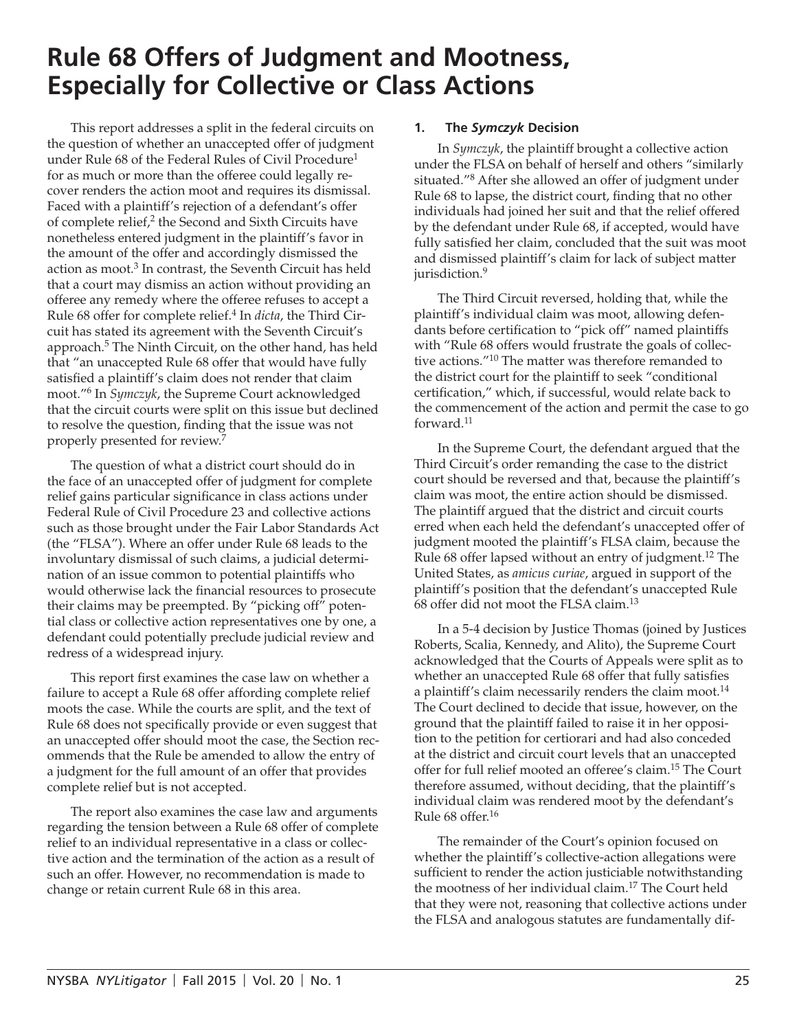# **Rule 68 Offers of Judgment and Mootness, Especially for Collective or Class Actions**

This report addresses a split in the federal circuits on the question of whether an unaccepted offer of judgment under Rule 68 of the Federal Rules of Civil Procedure<sup>1</sup> for as much or more than the offeree could legally recover renders the action moot and requires its dismissal. Faced with a plaintiff's rejection of a defendant's offer of complete relief,<sup>2</sup> the Second and Sixth Circuits have nonetheless entered judgment in the plaintiff's favor in the amount of the offer and accordingly dismissed the action as moot.<sup>3</sup> In contrast, the Seventh Circuit has held that a court may dismiss an action without providing an offeree any remedy where the offeree refuses to accept a Rule 68 offer for complete relief.4 In *dicta*, the Third Circuit has stated its agreement with the Seventh Circuit's approach.<sup>5</sup> The Ninth Circuit, on the other hand, has held that "an unaccepted Rule 68 offer that would have fully satisfied a plaintiff's claim does not render that claim moot."6 In *Symczyk*, the Supreme Court acknowledged that the circuit courts were split on this issue but declined to resolve the question, finding that the issue was not properly presented for review.7

The question of what a district court should do in the face of an unaccepted offer of judgment for complete relief gains particular significance in class actions under Federal Rule of Civil Procedure 23 and collective actions such as those brought under the Fair Labor Standards Act (the "FLSA"). Where an offer under Rule 68 leads to the involuntary dismissal of such claims, a judicial determination of an issue common to potential plaintiffs who would otherwise lack the financial resources to prosecute their claims may be preempted. By "picking off" potential class or collective action representatives one by one, a defendant could potentially preclude judicial review and redress of a widespread injury.

This report first examines the case law on whether a failure to accept a Rule 68 offer affording complete relief moots the case. While the courts are split, and the text of Rule 68 does not specifically provide or even suggest that an unaccepted offer should moot the case, the Section recommends that the Rule be amended to allow the entry of a judgment for the full amount of an offer that provides complete relief but is not accepted.

The report also examines the case law and arguments regarding the tension between a Rule 68 offer of complete relief to an individual representative in a class or collective action and the termination of the action as a result of such an offer. However, no recommendation is made to change or retain current Rule 68 in this area.

### **1. The** *Symczyk* **Decision**

In *Symczyk*, the plaintiff brought a collective action under the FLSA on behalf of herself and others "similarly situated."8 After she allowed an offer of judgment under Rule 68 to lapse, the district court, finding that no other individuals had joined her suit and that the relief offered by the defendant under Rule 68, if accepted, would have fully satisfied her claim, concluded that the suit was moot and dismissed plaintiff's claim for lack of subject matter jurisdiction.<sup>9</sup>

The Third Circuit reversed, holding that, while the plaintiff's individual claim was moot, allowing defendants before certification to "pick off" named plaintiffs with "Rule 68 offers would frustrate the goals of collective actions."10 The matter was therefore remanded to the district court for the plaintiff to seek "conditional certification," which, if successful, would relate back to the commencement of the action and permit the case to go forward.<sup>11</sup>

In the Supreme Court, the defendant argued that the Third Circuit's order remanding the case to the district court should be reversed and that, because the plaintiff's claim was moot, the entire action should be dismissed. The plaintiff argued that the district and circuit courts erred when each held the defendant's unaccepted offer of judgment mooted the plaintiff's FLSA claim, because the Rule 68 offer lapsed without an entry of judgment.<sup>12</sup> The United States, as *amicus curiae*, argued in support of the plaintiff's position that the defendant's unaccepted Rule 68 offer did not moot the FLSA claim.<sup>13</sup>

In a 5-4 decision by Justice Thomas (joined by Justices Roberts, Scalia, Kennedy, and Alito), the Supreme Court acknowledged that the Courts of Appeals were split as to whether an unaccepted Rule 68 offer that fully satisfies a plaintiff's claim necessarily renders the claim moot.<sup>14</sup> The Court declined to decide that issue, however, on the ground that the plaintiff failed to raise it in her opposition to the petition for certiorari and had also conceded at the district and circuit court levels that an unaccepted offer for full relief mooted an offeree's claim.15 The Court therefore assumed, without deciding, that the plaintiff's individual claim was rendered moot by the defendant's Rule 68 offer.<sup>16</sup>

The remainder of the Court's opinion focused on whether the plaintiff's collective-action allegations were sufficient to render the action justiciable notwithstanding the mootness of her individual claim.17 The Court held that they were not, reasoning that collective actions under the FLSA and analogous statutes are fundamentally dif-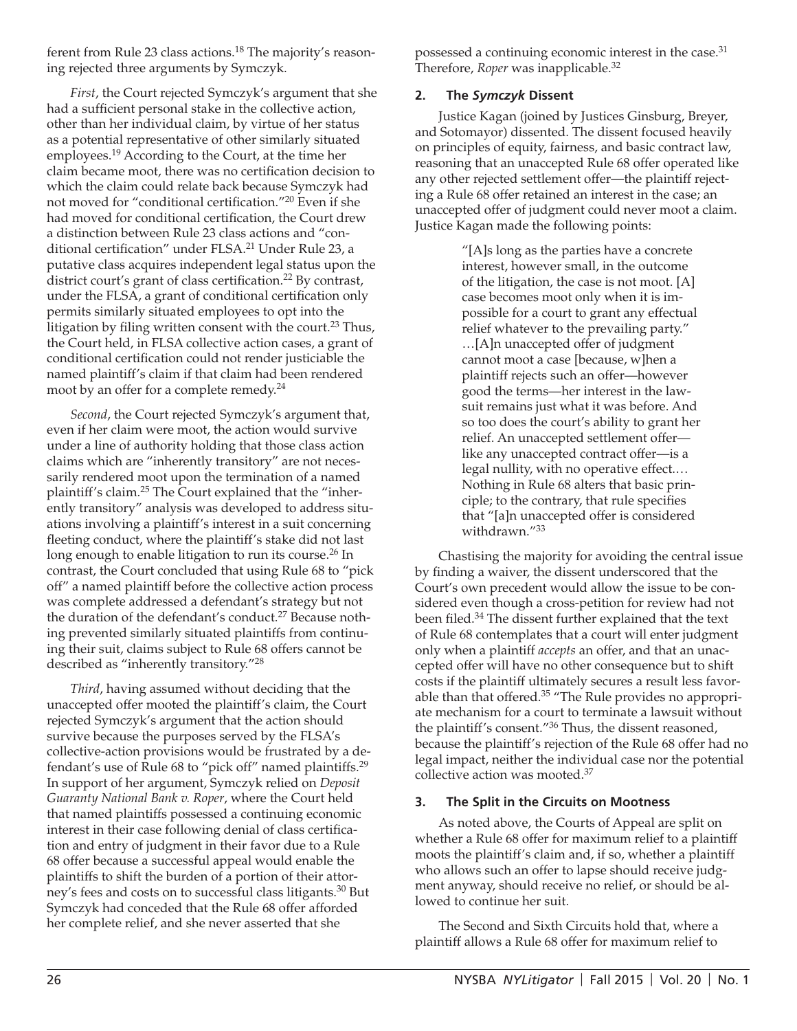ferent from Rule 23 class actions.<sup>18</sup> The majority's reasoning rejected three arguments by Symczyk.

*First*, the Court rejected Symczyk's argument that she had a sufficient personal stake in the collective action, other than her individual claim, by virtue of her status as a potential representative of other similarly situated employees.19 According to the Court, at the time her claim became moot, there was no certification decision to which the claim could relate back because Symczyk had not moved for "conditional certification."<sup>20</sup> Even if she had moved for conditional certification, the Court drew a distinction between Rule 23 class actions and "conditional certification" under FLSA.<sup>21</sup> Under Rule 23, a putative class acquires independent legal status upon the district court's grant of class certification.<sup>22</sup> By contrast, under the FLSA, a grant of conditional certification only permits similarly situated employees to opt into the litigation by filing written consent with the court.<sup>23</sup> Thus, the Court held, in FLSA collective action cases, a grant of conditional certification could not render justiciable the named plaintiff's claim if that claim had been rendered moot by an offer for a complete remedy.<sup>24</sup>

*Second*, the Court rejected Symczyk's argument that, even if her claim were moot, the action would survive under a line of authority holding that those class action claims which are "inherently transitory" are not necessarily rendered moot upon the termination of a named plaintiff's claim.25 The Court explained that the "inherently transitory" analysis was developed to address situations involving a plaintiff's interest in a suit concerning fleeting conduct, where the plaintiff's stake did not last long enough to enable litigation to run its course.<sup>26</sup> In contrast, the Court concluded that using Rule 68 to "pick off" a named plaintiff before the collective action process was complete addressed a defendant's strategy but not the duration of the defendant's conduct.<sup>27</sup> Because nothing prevented similarly situated plaintiffs from continuing their suit, claims subject to Rule 68 offers cannot be described as "inherently transitory."<sup>28</sup>

*Third*, having assumed without deciding that the unaccepted offer mooted the plaintiff's claim, the Court rejected Symczyk's argument that the action should survive because the purposes served by the FLSA's collective-action provisions would be frustrated by a defendant's use of Rule 68 to "pick off" named plaintiffs.<sup>29</sup> In support of her argument, Symczyk relied on *Deposit Guaranty National Bank v. Roper*, where the Court held that named plaintiffs possessed a continuing economic interest in their case following denial of class certification and entry of judgment in their favor due to a Rule 68 offer because a successful appeal would enable the plaintiffs to shift the burden of a portion of their attorney's fees and costs on to successful class litigants.30 But Symczyk had conceded that the Rule 68 offer afforded her complete relief, and she never asserted that she

possessed a continuing economic interest in the case.<sup>31</sup> Therefore, *Roper* was inapplicable.32

# **2. The** *Symczyk* **Dissent**

Justice Kagan (joined by Justices Ginsburg, Breyer, and Sotomayor) dissented. The dissent focused heavily on principles of equity, fairness, and basic contract law, reasoning that an unaccepted Rule 68 offer operated like any other rejected settlement offer—the plaintiff rejecting a Rule 68 offer retained an interest in the case; an unaccepted offer of judgment could never moot a claim. Justice Kagan made the following points:

> "[A]s long as the parties have a concrete interest, however small, in the outcome of the litigation, the case is not moot. [A] case becomes moot only when it is impossible for a court to grant any effectual relief whatever to the prevailing party." …[A]n unaccepted offer of judgment cannot moot a case [because, w]hen a plaintiff rejects such an offer—however good the terms—her interest in the lawsuit remains just what it was before. And so too does the court's ability to grant her relief. An unaccepted settlement offer like any unaccepted contract offer—is a legal nullity, with no operative effect.… Nothing in Rule 68 alters that basic principle; to the contrary, that rule specifies that "[a]n unaccepted offer is considered withdrawn."33

Chastising the majority for avoiding the central issue by finding a waiver, the dissent underscored that the Court's own precedent would allow the issue to be considered even though a cross-petition for review had not been filed.<sup>34</sup> The dissent further explained that the text of Rule 68 contemplates that a court will enter judgment only when a plaintiff *accepts* an offer, and that an unaccepted offer will have no other consequence but to shift costs if the plaintiff ultimately secures a result less favorable than that offered.35 "The Rule provides no appropriate mechanism for a court to terminate a lawsuit without the plaintiff's consent."36 Thus, the dissent reasoned, because the plaintiff's rejection of the Rule 68 offer had no legal impact, neither the individual case nor the potential collective action was mooted.37

# **3. The Split in the Circuits on Mootness**

As noted above, the Courts of Appeal are split on whether a Rule 68 offer for maximum relief to a plaintiff moots the plaintiff's claim and, if so, whether a plaintiff who allows such an offer to lapse should receive judgment anyway, should receive no relief, or should be allowed to continue her suit.

The Second and Sixth Circuits hold that, where a plaintiff allows a Rule 68 offer for maximum relief to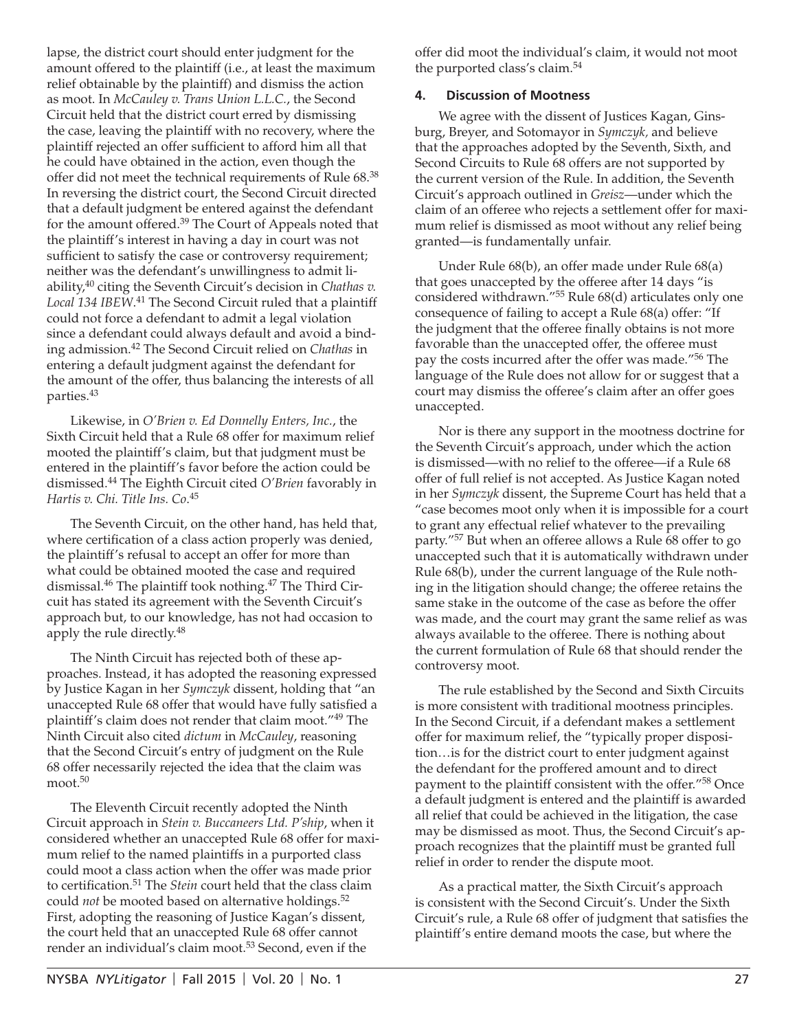lapse, the district court should enter judgment for the amount offered to the plaintiff (i.e., at least the maximum relief obtainable by the plaintiff) and dismiss the action as moot. In *McCauley v. Trans Union L.L.C.*, the Second Circuit held that the district court erred by dismissing the case, leaving the plaintiff with no recovery, where the plaintiff rejected an offer sufficient to afford him all that he could have obtained in the action, even though the offer did not meet the technical requirements of Rule 68.38 In reversing the district court, the Second Circuit directed that a default judgment be entered against the defendant for the amount offered.<sup>39</sup> The Court of Appeals noted that the plaintiff's interest in having a day in court was not sufficient to satisfy the case or controversy requirement; neither was the defendant's unwillingness to admit liability,40 citing the Seventh Circuit's decision in *Chathas v. Local 134 IBEW*. 41 The Second Circuit ruled that a plaintiff could not force a defendant to admit a legal violation since a defendant could always default and avoid a binding admission.42 The Second Circuit relied on *Chathas* in entering a default judgment against the defendant for the amount of the offer, thus balancing the interests of all parties.43

Likewise, in *O'Brien v. Ed Donnelly Enters, Inc.*, the Sixth Circuit held that a Rule 68 offer for maximum relief mooted the plaintiff's claim, but that judgment must be entered in the plaintiff's favor before the action could be dismissed.44 The Eighth Circuit cited *O'Brien* favorably in *Hartis v. Chi. Title Ins. Co*. 45

The Seventh Circuit, on the other hand, has held that, where certification of a class action properly was denied, the plaintiff's refusal to accept an offer for more than what could be obtained mooted the case and required dismissal.<sup>46</sup> The plaintiff took nothing.<sup>47</sup> The Third Circuit has stated its agreement with the Seventh Circuit's approach but, to our knowledge, has not had occasion to apply the rule directly.<sup>48</sup>

The Ninth Circuit has rejected both of these approaches. Instead, it has adopted the reasoning expressed by Justice Kagan in her *Symczyk* dissent, holding that "an unaccepted Rule 68 offer that would have fully satisfied a plaintiff's claim does not render that claim moot."49 The Ninth Circuit also cited *dictum* in *McCauley*, reasoning that the Second Circuit's entry of judgment on the Rule 68 offer necessarily rejected the idea that the claim was moot.<sup>50</sup>

The Eleventh Circuit recently adopted the Ninth Circuit approach in *Stein v. Buccaneers Ltd. P'ship*, when it considered whether an unaccepted Rule 68 offer for maximum relief to the named plaintiffs in a purported class could moot a class action when the offer was made prior to certification.<sup>51</sup> The *Stein* court held that the class claim could *not* be mooted based on alternative holdings.<sup>52</sup> First, adopting the reasoning of Justice Kagan's dissent, the court held that an unaccepted Rule 68 offer cannot render an individual's claim moot.53 Second, even if the

offer did moot the individual's claim, it would not moot the purported class's claim.54

## **4. Discussion of Mootness**

We agree with the dissent of Justices Kagan, Ginsburg, Breyer, and Sotomayor in *Symczyk,* and believe that the approaches adopted by the Seventh, Sixth, and Second Circuits to Rule 68 offers are not supported by the current version of the Rule. In addition, the Seventh Circuit's approach outlined in *Greisz*—under which the claim of an offeree who rejects a settlement offer for maximum relief is dismissed as moot without any relief being granted—is fundamentally unfair.

Under Rule 68(b), an offer made under Rule 68(a) that goes unaccepted by the offeree after 14 days "is considered withdrawn."55 Rule 68(d) articulates only one consequence of failing to accept a Rule 68(a) offer: "If the judgment that the offeree finally obtains is not more favorable than the unaccepted offer, the offeree must pay the costs incurred after the offer was made."56 The language of the Rule does not allow for or suggest that a court may dismiss the offeree's claim after an offer goes unaccepted.

Nor is there any support in the mootness doctrine for the Seventh Circuit's approach, under which the action is dismissed—with no relief to the offeree—if a Rule 68 offer of full relief is not accepted. As Justice Kagan noted in her *Symczyk* dissent, the Supreme Court has held that a "case becomes moot only when it is impossible for a court to grant any effectual relief whatever to the prevailing party."57 But when an offeree allows a Rule 68 offer to go unaccepted such that it is automatically withdrawn under Rule 68(b), under the current language of the Rule nothing in the litigation should change; the offeree retains the same stake in the outcome of the case as before the offer was made, and the court may grant the same relief as was always available to the offeree. There is nothing about the current formulation of Rule 68 that should render the controversy moot.

The rule established by the Second and Sixth Circuits is more consistent with traditional mootness principles. In the Second Circuit, if a defendant makes a settlement offer for maximum relief, the "typically proper disposition…is for the district court to enter judgment against the defendant for the proffered amount and to direct payment to the plaintiff consistent with the offer."58 Once a default judgment is entered and the plaintiff is awarded all relief that could be achieved in the litigation, the case may be dismissed as moot. Thus, the Second Circuit's approach recognizes that the plaintiff must be granted full relief in order to render the dispute moot.

As a practical matter, the Sixth Circuit's approach is consistent with the Second Circuit's. Under the Sixth Circuit's rule, a Rule 68 offer of judgment that satisfies the plaintiff's entire demand moots the case, but where the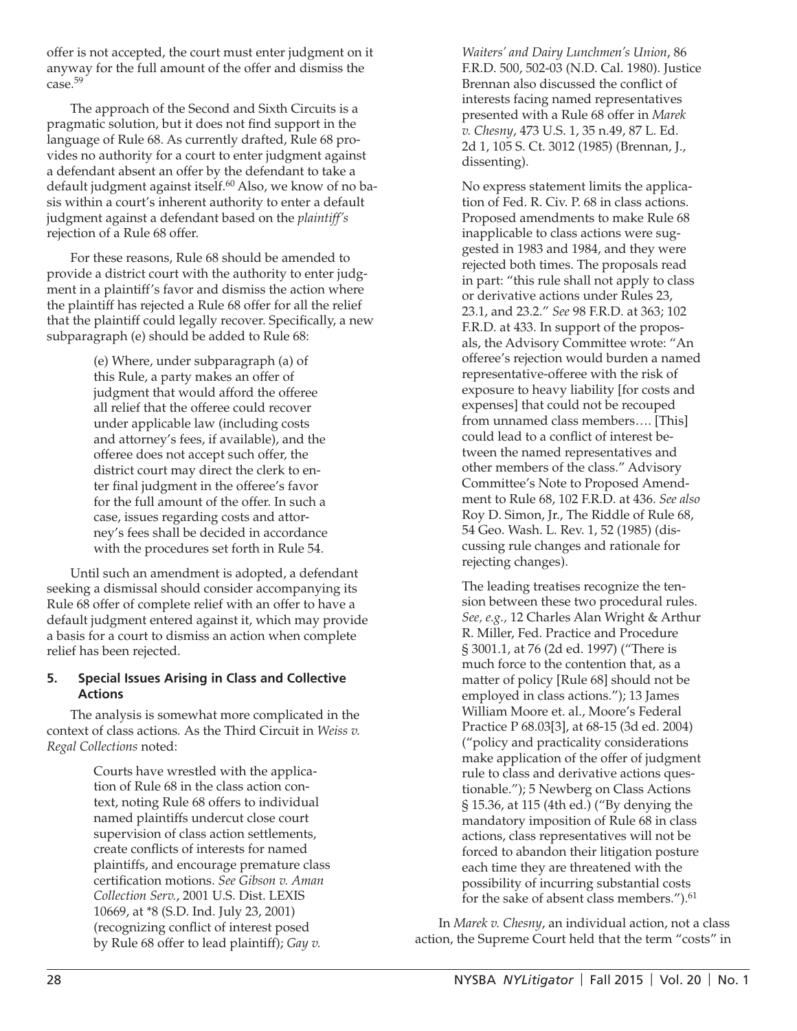offer is not accepted, the court must enter judgment on it anyway for the full amount of the offer and dismiss the case.59

The approach of the Second and Sixth Circuits is a pragmatic solution, but it does not find support in the language of Rule 68. As currently drafted, Rule 68 provides no authority for a court to enter judgment against a defendant absent an offer by the defendant to take a default judgment against itself.<sup>60</sup> Also, we know of no basis within a court's inherent authority to enter a default judgment against a defendant based on the *plaintiff's* rejection of a Rule 68 offer.

For these reasons, Rule 68 should be amended to provide a district court with the authority to enter judgment in a plaintiff's favor and dismiss the action where the plaintiff has rejected a Rule 68 offer for all the relief that the plaintiff could legally recover. Specifically, a new subparagraph (e) should be added to Rule 68:

> (e) Where, under subparagraph (a) of this Rule, a party makes an offer of judgment that would afford the offeree all relief that the offeree could recover under applicable law (including costs and attorney's fees, if available), and the offeree does not accept such offer, the district court may direct the clerk to enter final judgment in the offeree's favor for the full amount of the offer. In such a case, issues regarding costs and attorney's fees shall be decided in accordance with the procedures set forth in Rule 54.

Until such an amendment is adopted, a defendant seeking a dismissal should consider accompanying its Rule 68 offer of complete relief with an offer to have a default judgment entered against it, which may provide a basis for a court to dismiss an action when complete relief has been rejected.

## **5. Special Issues Arising in Class and Collective Actions**

The analysis is somewhat more complicated in the context of class actions*.* As the Third Circuit in *Weiss v. Regal Collections* noted:

> Courts have wrestled with the application of Rule 68 in the class action context, noting Rule 68 offers to individual named plaintiffs undercut close court supervision of class action settlements, create conflicts of interests for named plaintiffs, and encourage premature class certification motions. See Gibson v. Aman *Collection Serv.*, 2001 U.S. Dist. LEXIS 10669, at \*8 (S.D. Ind. July 23, 2001) (recognizing conflict of interest posed by Rule 68 offer to lead plaintiff); *Gay v.*

*Waiters' and Dairy Lunchmen's Union*, 86 F.R.D. 500, 502-03 (N.D. Cal. 1980). Justice Brennan also discussed the conflict of interests facing named representatives presented with a Rule 68 offer in *Marek v. Chesny*, 473 U.S. 1, 35 n.49, 87 L. Ed. 2d 1, 105 S. Ct. 3012 (1985) (Brennan, J., dissenting).

No express statement limits the application of Fed. R. Civ. P. 68 in class actions. Proposed amendments to make Rule 68 inapplicable to class actions were suggested in 1983 and 1984, and they were rejected both times. The proposals read in part: "this rule shall not apply to class or derivative actions under Rules 23, 23.1, and 23.2." *See* 98 F.R.D. at 363; 102 F.R.D. at 433. In support of the proposals, the Advisory Committee wrote: "An offeree's rejection would burden a named representative-offeree with the risk of exposure to heavy liability [for costs and expenses] that could not be recouped from unnamed class members…. [This] could lead to a conflict of interest between the named representatives and other members of the class." Advisory Committee's Note to Proposed Amendment to Rule 68, 102 F.R.D. at 436. *See also* Roy D. Simon, Jr., The Riddle of Rule 68, 54 Geo. Wash. L. Rev. 1, 52 (1985) (discussing rule changes and rationale for rejecting changes).

The leading treatises recognize the tension between these two procedural rules. *See, e.g.,* 12 Charles Alan Wright & Arthur R. Miller, Fed. Practice and Procedure § 3001.1, at 76 (2d ed. 1997) ("There is much force to the contention that, as a matter of policy [Rule 68] should not be employed in class actions."); 13 James William Moore et. al., Moore's Federal Practice P 68.03[3], at 68-15 (3d ed. 2004) ("policy and practicality considerations make application of the offer of judgment rule to class and derivative actions questionable."); 5 Newberg on Class Actions § 15.36, at 115 (4th ed.) ("By denying the mandatory imposition of Rule 68 in class actions, class representatives will not be forced to abandon their litigation posture each time they are threatened with the possibility of incurring substantial costs for the sake of absent class members.").<sup>61</sup>

In *Marek v. Chesny*, an individual action, not a class action, the Supreme Court held that the term "costs" in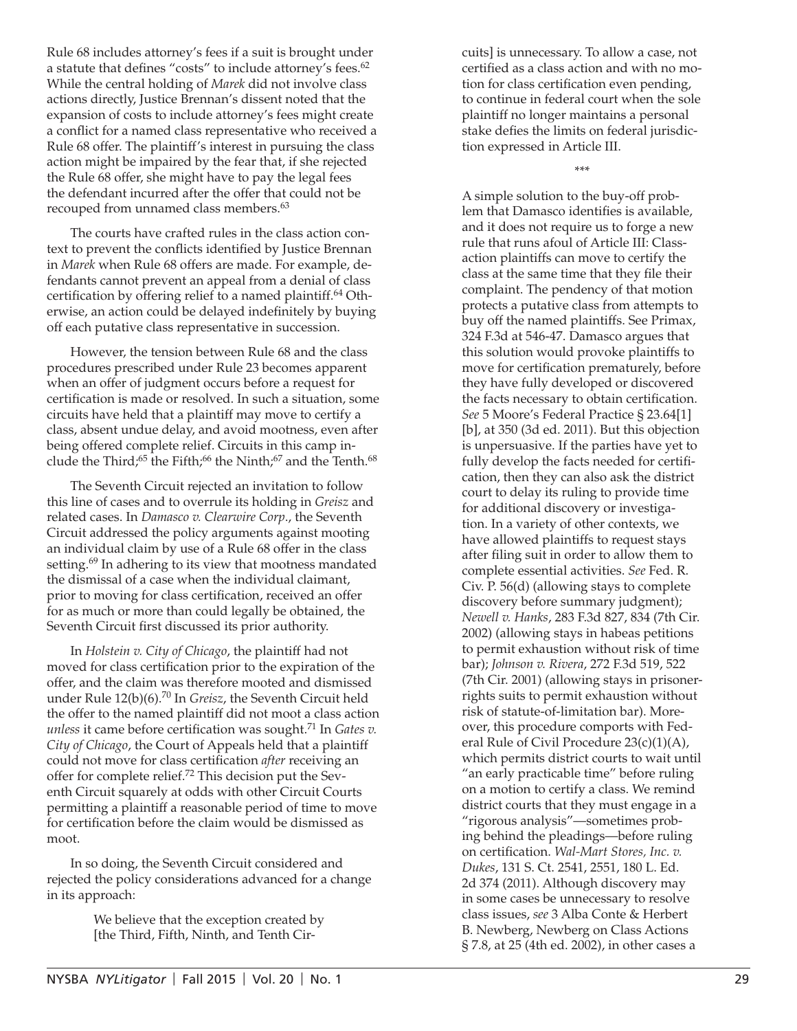While the central holding of *Marek* did not involve class actions directly, Justice Brennan's dissent noted that the expansion of costs to include attorney's fees might create a conflict for a named class representative who received a Rule 68 offer. The plaintiff's interest in pursuing the class action might be impaired by the fear that, if she rejected the Rule 68 offer, she might have to pay the legal fees the defendant incurred after the offer that could not be recouped from unnamed class members.<sup>63</sup> The courts have crafted rules in the class action con-

Rule 68 includes attorney's fees if a suit is brought under a statute that defines "costs" to include attorney's fees.<sup>62</sup>

text to prevent the conflicts identified by Justice Brennan in *Marek* when Rule 68 offers are made. For example, defendants cannot prevent an appeal from a denial of class certification by offering relief to a named plaintiff.<sup>64</sup> Otherwise, an action could be delayed indefinitely by buying off each putative class representative in succession.

However, the tension between Rule 68 and the class procedures prescribed under Rule 23 becomes apparent when an offer of judgment occurs before a request for certification is made or resolved. In such a situation, some circuits have held that a plaintiff may move to certify a class, absent undue delay, and avoid mootness, even after being offered complete relief. Circuits in this camp include the Third;<sup>65</sup> the Fifth;<sup>66</sup> the Ninth;<sup>67</sup> and the Tenth.<sup>68</sup>

The Seventh Circuit rejected an invitation to follow this line of cases and to overrule its holding in *Greisz* and related cases. In *Damasco v. Clearwire Corp*., the Seventh Circuit addressed the policy arguments against mooting an individual claim by use of a Rule 68 offer in the class setting.<sup>69</sup> In adhering to its view that mootness mandated the dismissal of a case when the individual claimant, prior to moving for class certification, received an offer for as much or more than could legally be obtained, the Seventh Circuit first discussed its prior authority.

In *Holstein v. City of Chicago*, the plaintiff had not moved for class certification prior to the expiration of the offer, and the claim was therefore mooted and dismissed under Rule 12(b)(6).70 In *Greisz*, the Seventh Circuit held the offer to the named plaintiff did not moot a class action *unless* it came before certification was sought.<sup>71</sup> In *Gates v*. *City of Chicago*, the Court of Appeals held that a plaintiff could not move for class certification *after* receiving an offer for complete relief.72 This decision put the Seventh Circuit squarely at odds with other Circuit Courts permitting a plaintiff a reasonable period of time to move for certification before the claim would be dismissed as moot.

In so doing, the Seventh Circuit considered and rejected the policy considerations advanced for a change in its approach:

> We believe that the exception created by [the Third, Fifth, Ninth, and Tenth Cir

cuits] is unnecessary. To allow a case, not certified as a class action and with no motion for class certification even pending, to continue in federal court when the sole plaintiff no longer maintains a personal stake defies the limits on federal jurisdiction expressed in Article III.

\*\*\*

A simple solution to the buy-off problem that Damasco identifies is available, and it does not require us to forge a new rule that runs afoul of Article III: Classaction plaintiffs can move to certify the class at the same time that they file their complaint. The pendency of that motion protects a putative class from attempts to buy off the named plaintiffs. See Primax, 324 F.3d at 546-47. Damasco argues that this solution would provoke plaintiffs to move for certification prematurely, before they have fully developed or discovered the facts necessary to obtain certification. *See* 5 Moore's Federal Practice § 23.64[1] [b], at 350 (3d ed. 2011). But this objection is unpersuasive. If the parties have yet to fully develop the facts needed for certification, then they can also ask the district court to delay its ruling to provide time for additional discovery or investigation. In a variety of other contexts, we have allowed plaintiffs to request stays after filing suit in order to allow them to complete essential activities. *See* Fed. R. Civ. P. 56(d) (allowing stays to complete discovery before summary judgment); *Newell v. Hanks*, 283 F.3d 827, 834 (7th Cir. 2002) (allowing stays in habeas petitions to permit exhaustion without risk of time bar); *Johnson v. Rivera*, 272 F.3d 519, 522 (7th Cir. 2001) (allowing stays in prisonerrights suits to permit exhaustion without risk of statute-of-limitation bar). Moreover, this procedure comports with Federal Rule of Civil Procedure 23(c)(1)(A), which permits district courts to wait until "an early practicable time" before ruling on a motion to certify a class. We remind district courts that they must engage in a "rigorous analysis"—sometimes probing behind the pleadings—before ruling on certification. *Wal-Mart Stores, Inc. v. Dukes*, 131 S. Ct. 2541, 2551, 180 L. Ed. 2d 374 (2011). Although discovery may in some cases be unnecessary to resolve class issues, *see* 3 Alba Conte & Herbert B. Newberg, Newberg on Class Actions § 7.8, at 25 (4th ed. 2002), in other cases a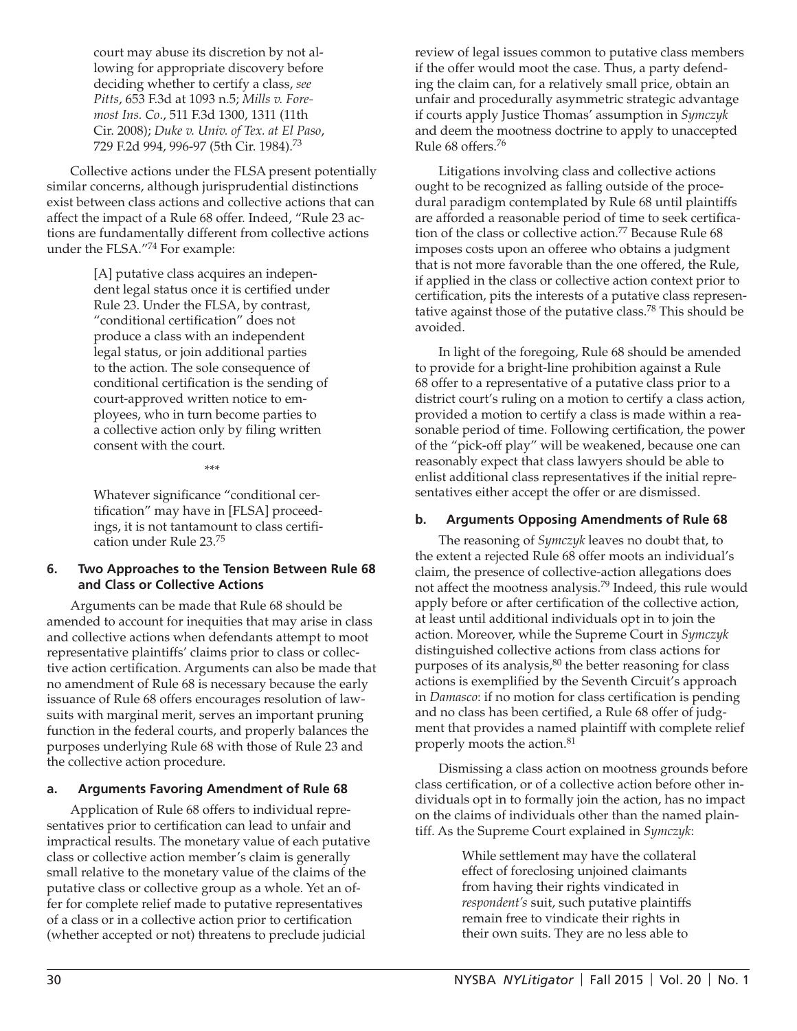court may abuse its discretion by not allowing for appropriate discovery before deciding whether to certify a class, *see Pitts*, 653 F.3d at 1093 n.5; *Mills v. Foremost Ins. Co*., 511 F.3d 1300, 1311 (11th Cir. 2008); *Duke v. Univ. of Tex. at El Paso*, 729 F.2d 994, 996-97 (5th Cir. 1984).<sup>73</sup>

Collective actions under the FLSA present potentially similar concerns, although jurisprudential distinctions exist between class actions and collective actions that can affect the impact of a Rule 68 offer. Indeed, "Rule 23 actions are fundamentally different from collective actions under the FLSA."74 For example:

> [A] putative class acquires an independent legal status once it is certified under Rule 23. Under the FLSA, by contrast, "conditional certification" does not produce a class with an independent legal status, or join additional parties to the action. The sole consequence of conditional certification is the sending of court-approved written notice to employees, who in turn become parties to a collective action only by filing written consent with the court.

> > \*\*\*

Whatever significance "conditional certification" may have in [FLSA] proceedings, it is not tantamount to class certification under Rule 23.75

## **6. Two Approaches to the Tension Between Rule 68 and Class or Collective Actions**

Arguments can be made that Rule 68 should be amended to account for inequities that may arise in class and collective actions when defendants attempt to moot representative plaintiffs' claims prior to class or collective action certification. Arguments can also be made that no amendment of Rule 68 is necessary because the early issuance of Rule 68 offers encourages resolution of lawsuits with marginal merit, serves an important pruning function in the federal courts, and properly balances the purposes underlying Rule 68 with those of Rule 23 and the collective action procedure.

# **a. Arguments Favoring Amendment of Rule 68**

Application of Rule 68 offers to individual representatives prior to certification can lead to unfair and impractical results. The monetary value of each putative class or collective action member's claim is generally small relative to the monetary value of the claims of the putative class or collective group as a whole. Yet an offer for complete relief made to putative representatives of a class or in a collective action prior to certification (whether accepted or not) threatens to preclude judicial

review of legal issues common to putative class members if the offer would moot the case. Thus, a party defending the claim can, for a relatively small price, obtain an unfair and procedurally asymmetric strategic advantage if courts apply Justice Thomas' assumption in *Symczyk*  and deem the mootness doctrine to apply to unaccepted Rule 68 offers.<sup>76</sup>

Litigations involving class and collective actions ought to be recognized as falling outside of the procedural paradigm contemplated by Rule 68 until plaintiffs are afforded a reasonable period of time to seek certification of the class or collective action.<sup>77</sup> Because Rule 68 imposes costs upon an offeree who obtains a judgment that is not more favorable than the one offered, the Rule, if applied in the class or collective action context prior to certification, pits the interests of a putative class representative against those of the putative class.<sup>78</sup> This should be avoided.

In light of the foregoing, Rule 68 should be amended to provide for a bright-line prohibition against a Rule 68 offer to a representative of a putative class prior to a district court's ruling on a motion to certify a class action, provided a motion to certify a class is made within a reasonable period of time. Following certification, the power of the "pick-off play" will be weakened, because one can reasonably expect that class lawyers should be able to enlist additional class representatives if the initial representatives either accept the offer or are dismissed.

# **b. Arguments Opposing Amendments of Rule 68**

The reasoning of *Symczyk* leaves no doubt that, to the extent a rejected Rule 68 offer moots an individual's claim, the presence of collective-action allegations does not affect the mootness analysis.79 Indeed, this rule would apply before or after certification of the collective action, at least until additional individuals opt in to join the action. Moreover, while the Supreme Court in *Symczyk* distinguished collective actions from class actions for purposes of its analysis,<sup>80</sup> the better reasoning for class actions is exemplified by the Seventh Circuit's approach in *Damasco*: if no motion for class certification is pending and no class has been certified, a Rule 68 offer of judgment that provides a named plaintiff with complete relief properly moots the action.<sup>81</sup>

Dismissing a class action on mootness grounds before class certification, or of a collective action before other individuals opt in to formally join the action, has no impact on the claims of individuals other than the named plaintiff. As the Supreme Court explained in *Symczyk*:

> While settlement may have the collateral effect of foreclosing unjoined claimants from having their rights vindicated in *respondent's* suit, such putative plaintiffs remain free to vindicate their rights in their own suits. They are no less able to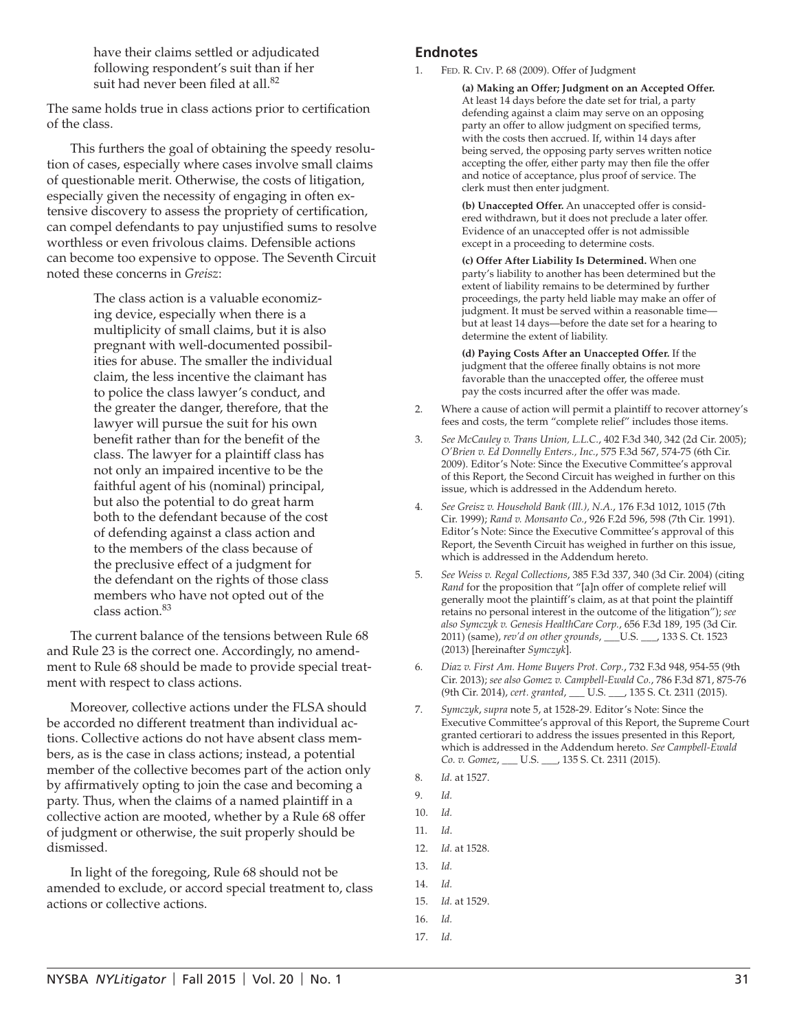have their claims settled or adjudicated following respondent's suit than if her suit had never been filed at all.<sup>82</sup>

The same holds true in class actions prior to certification of the class.

This furthers the goal of obtaining the speedy resolution of cases, especially where cases involve small claims of questionable merit. Otherwise, the costs of litigation, especially given the necessity of engaging in often extensive discovery to assess the propriety of certification, can compel defendants to pay unjustified sums to resolve worthless or even frivolous claims. Defensible actions can become too expensive to oppose. The Seventh Circuit noted these concerns in *Greisz*:

> The class action is a valuable economizing device, especially when there is a multiplicity of small claims, but it is also pregnant with well-documented possibilities for abuse. The smaller the individual claim, the less incentive the claimant has to police the class lawyer's conduct, and the greater the danger, therefore, that the lawyer will pursue the suit for his own benefit rather than for the benefit of the class. The lawyer for a plaintiff class has not only an impaired incentive to be the faithful agent of his (nominal) principal, but also the potential to do great harm both to the defendant because of the cost of defending against a class action and to the members of the class because of the preclusive effect of a judgment for the defendant on the rights of those class members who have not opted out of the class action.83

The current balance of the tensions between Rule 68 and Rule 23 is the correct one. Accordingly, no amendment to Rule 68 should be made to provide special treatment with respect to class actions.

Moreover, collective actions under the FLSA should be accorded no different treatment than individual actions. Collective actions do not have absent class members, as is the case in class actions; instead, a potential member of the collective becomes part of the action only by affirmatively opting to join the case and becoming a party. Thus, when the claims of a named plaintiff in a collective action are mooted, whether by a Rule 68 offer of judgment or otherwise, the suit properly should be dismissed.

In light of the foregoing, Rule 68 should not be amended to exclude, or accord special treatment to, class actions or collective actions.

### **Endnotes**

1. FED. R. CIV. P. 68 (2009). Offer of Judgment

**(a) Making an Offer; Judgment on an Accepted Offer.** At least 14 days before the date set for trial, a party defending against a claim may serve on an opposing party an offer to allow judgment on specified terms, with the costs then accrued. If, within 14 days after being served, the opposing party serves written notice accepting the offer, either party may then file the offer and notice of acceptance, plus proof of service. The clerk must then enter judgment.

**(b) Unaccepted Offer.** An unaccepted offer is considered withdrawn, but it does not preclude a later offer. Evidence of an unaccepted offer is not admissible except in a proceeding to determine costs.

**(c) Offer After Liability Is Determined.** When one party's liability to another has been determined but the extent of liability remains to be determined by further proceedings, the party held liable may make an offer of judgment. It must be served within a reasonable time but at least 14 days—before the date set for a hearing to determine the extent of liability.

**(d) Paying Costs After an Unaccepted Offer.** If the judgment that the offeree finally obtains is not more favorable than the unaccepted offer, the offeree must pay the costs incurred after the offer was made.

- 2. Where a cause of action will permit a plaintiff to recover attorney's fees and costs, the term "complete relief" includes those items.
- 3. *See McCauley v. Trans Union, L.L.C.*, 402 F.3d 340, 342 (2d Cir. 2005); *O'Brien v. Ed Donnelly Enters., Inc.*, 575 F.3d 567, 574-75 (6th Cir. 2009). Editor's Note: Since the Executive Committee's approval of this Report, the Second Circuit has weighed in further on this issue, which is addressed in the Addendum hereto.
- 4. *See Greisz v. Household Bank (Ill.), N.A.*, 176 F.3d 1012, 1015 (7th Cir. 1999); *Rand v. Monsanto Co.*, 926 F.2d 596, 598 (7th Cir. 1991). Editor's Note: Since the Executive Committee's approval of this Report, the Seventh Circuit has weighed in further on this issue, which is addressed in the Addendum hereto.
- 5. *See Weiss v. Regal Collections*, 385 F.3d 337, 340 (3d Cir. 2004) (citing *Rand* for the proposition that "[a]n offer of complete relief will generally moot the plaintiff's claim, as at that point the plaintiff retains no personal interest in the outcome of the litigation"); *see also Symczyk v. Genesis HealthCare Corp.*, 656 F.3d 189, 195 (3d Cir. 2011) (same), *rev'd on other grounds*, \_\_\_U.S. \_\_\_, 133 S. Ct. 1523 (2013) [hereinafter *Symczyk*].
- 6. *Diaz v. First Am. Home Buyers Prot. Corp.*, 732 F.3d 948, 954-55 (9th Cir. 2013); *see also Gomez v. Campbell-Ewald Co.*, 786 F.3d 871, 875-76 (9th Cir. 2014), *cert. granted*, \_\_\_ U.S. \_\_\_, 135 S. Ct. 2311 (2015).
- 7. *Symczyk*, *supra* note 5, at 1528-29. Editor's Note: Since the Executive Committee's approval of this Report, the Supreme Court granted certiorari to address the issues presented in this Report, which is addressed in the Addendum hereto. *See Campbell-Ewald Co. v. Gomez*, \_\_\_ U.S. \_\_\_, 135 S. Ct. 2311 (2015).
- 8. *Id.* at 1527.
- 9. *Id.*
- 10. *Id.*
- 11. *Id*.
- 12. *Id.* at 1528.
- 13. *Id.*
- 14. *Id.*
- 15. *Id.* at 1529.
- 16. *Id.*
- 17. *Id.*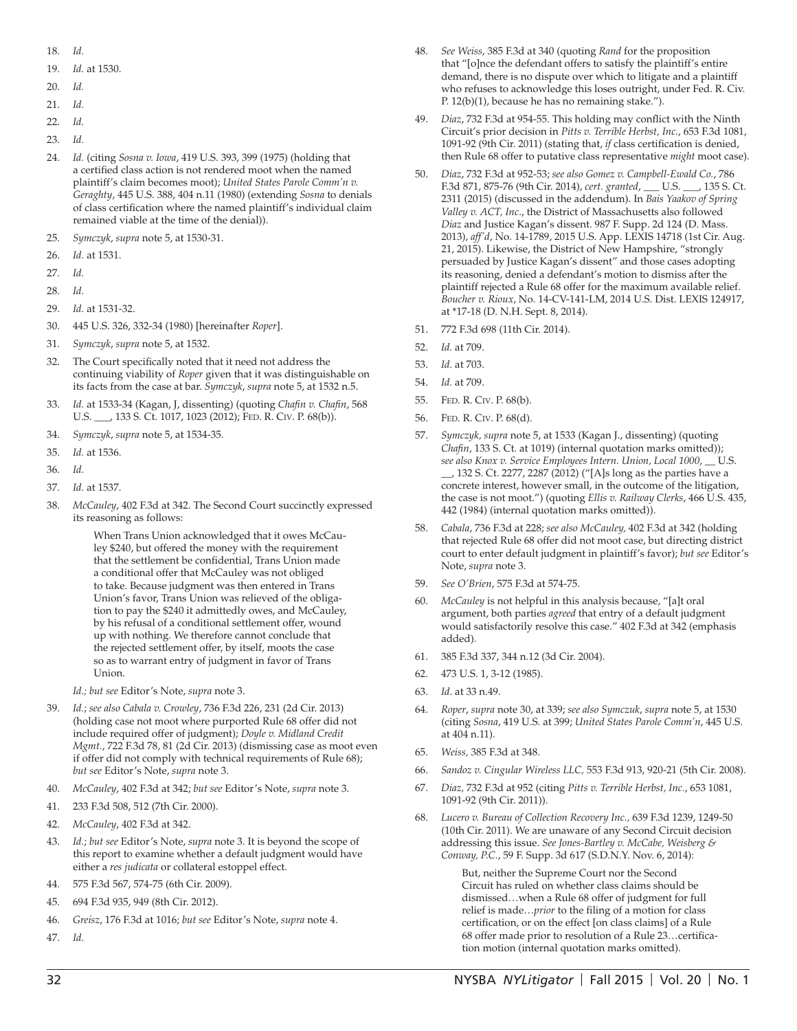- 18. *Id.*
- 19. *Id.* at 1530.
- 20. *Id.*
- 21. *Id.*
- 22. *Id.*
- 23. *Id.*
- 24. *Id.* (citing *Sosna v. Iowa*, 419 U.S. 393, 399 (1975) (holding that a certified class action is not rendered moot when the named plaintiff's claim becomes moot); *United States Parole Comm'n v. Geraghty*, 445 U.S. 388, 404 n.11 (1980) (extending *Sosna* to denials of class certification where the named plaintiff's individual claim remained viable at the time of the denial)).
- 25. *Symczyk*, *supra* note 5, at 1530-31.
- 26. *Id.* at 1531.
- 27. *Id.*
- 28. *Id.*
- 29. *Id.* at 1531-32.
- 30. 445 U.S. 326, 332-34 (1980) [hereinafter *Roper*].
- 31. *Symczyk*, *supra* note 5, at 1532.
- 32. The Court specifically noted that it need not address the continuing viability of *Roper* given that it was distinguishable on its facts from the case at bar. *Symczyk*, *supra* note 5, at 1532 n.5.
- 33. *Id.* at 1533-34 (Kagan, J, dissenting) (quoting *Chafin v. Chafin*, 568 U.S. \_\_\_, 133 S. Ct. 1017, 1023 (2012); FED. R. CIV. P. 68(b)).
- 34. *Symczyk*, *supra* note 5, at 1534-35.
- 35. *Id.* at 1536.
- 36. *Id.*
- 37. *Id.* at 1537.
- 38. *McCauley*, 402 F.3d at 342. The Second Court succinctly expressed its reasoning as follows:

When Trans Union acknowledged that it owes McCauley \$240, but offered the money with the requirement that the settlement be confidential, Trans Union made a conditional offer that McCauley was not obliged to take. Because judgment was then entered in Trans Union's favor, Trans Union was relieved of the obligation to pay the \$240 it admittedly owes, and McCauley, by his refusal of a conditional settlement offer, wound up with nothing. We therefore cannot conclude that the rejected settlement offer, by itself, moots the case so as to warrant entry of judgment in favor of Trans Union.

 *Id.; but see* Editor's Note, *supra* note 3.

- 39. *Id.*; *see also Cabala v. Crowley*, 736 F.3d 226, 231 (2d Cir. 2013) (holding case not moot where purported Rule 68 offer did not include required offer of judgment); *Doyle v. Midland Credit Mgmt.*, 722 F.3d 78, 81 (2d Cir. 2013) (dismissing case as moot even if offer did not comply with technical requirements of Rule 68); *but see* Editor's Note, *supra* note 3.
- 40. *McCauley*, 402 F.3d at 342; *but see* Editor's Note, *supra* note 3.
- 41. 233 F.3d 508, 512 (7th Cir. 2000).
- 42. *McCauley*, 402 F.3d at 342.
- 43. *Id.*; *but see* Editor's Note, *supra* note 3. It is beyond the scope of this report to examine whether a default judgment would have either a *res judicata* or collateral estoppel effect.
- 44. 575 F.3d 567, 574-75 (6th Cir. 2009).
- 45. 694 F.3d 935, 949 (8th Cir. 2012).
- 46. *Greisz*, 176 F.3d at 1016; *but see* Editor's Note, *supra* note 4.
- 47. *Id*.
- 48. *See Weiss*, 385 F.3d at 340 (quoting *Rand* for the proposition that "[o]nce the defendant offers to satisfy the plaintiff's entire demand, there is no dispute over which to litigate and a plaintiff who refuses to acknowledge this loses outright, under Fed. R. Civ. P. 12(b)(1), because he has no remaining stake.").
- 49. *Diaz, 732 F.3d at 954-55. This holding may conflict with the Ninth* Circuit's prior decision in *Pitts v. Terrible Herbst, Inc.*, 653 F.3d 1081, 1091-92 (9th Cir. 2011) (stating that, *if* class certification is denied, then Rule 68 offer to putative class representative *might* moot case).
- 50. *Diaz*, 732 F.3d at 952-53; *see also Gomez v. Campbell-Ewald Co.*, 786 F.3d 871, 875-76 (9th Cir. 2014), *cert. granted*, \_\_\_ U.S. \_\_\_, 135 S. Ct. 2311 (2015) (discussed in the addendum). In *Bais Yaakov of Spring Valley v. ACT, Inc*., the District of Massachusetts also followed *Diaz* and Justice Kagan's dissent. 987 F. Supp. 2d 124 (D. Mass. 2013), *aff'd*, No. 14-1789, 2015 U.S. App. LEXIS 14718 (1st Cir. Aug. 21, 2015). Likewise, the District of New Hampshire, "strongly persuaded by Justice Kagan's dissent" and those cases adopting its reasoning, denied a defendant's motion to dismiss after the plaintiff rejected a Rule 68 offer for the maximum available relief. *Boucher v. Rioux*, No. 14-CV-141-LM, 2014 U.S. Dist. LEXIS 124917, at \*17-18 (D. N.H. Sept. 8, 2014).
- 51. 772 F.3d 698 (11th Cir. 2014).
- 52. *Id.* at 709.
- 53. *Id.* at 703.
- 54. *Id.* at 709.
- 55. FED. R. CIV. P. 68(b).
- 56. FED. R. CIV. P. 68(d).
- 57. *Symczyk, supra* note 5, at 1533 (Kagan J., dissenting) (quoting *Chafin*, 133 S. Ct. at 1019) (internal quotation marks omitted)); *see also Knox v. Service Employees Intern. Union, Local 1000*, \_\_ U.S. \_\_, 132 S. Ct. 2277, 2287 (2012) ("[A]s long as the parties have a concrete interest, however small, in the outcome of the litigation, the case is not moot.") (quoting *Ellis v. Railway Clerks*, 466 U.S. 435, 442 (1984) (internal quotation marks omitted)).
- 58. *Cabala*, 736 F.3d at 228; *see also McCauley,* 402 F.3d at 342 (holding that rejected Rule 68 offer did not moot case, but directing district court to enter default judgment in plaintiff's favor); *but see* Editor's Note, *supra* note 3.
- 59. *See O'Brien*, 575 F.3d at 574-75.
- 60. *McCauley* is not helpful in this analysis because, "[a]t oral argument, both parties *agreed* that entry of a default judgment would satisfactorily resolve this case." 402 F.3d at 342 (emphasis added).
- 61. 385 F.3d 337, 344 n.12 (3d Cir. 2004).
- 62. 473 U.S. 1, 3-12 (1985).
- 63. *Id*. at 33 n.49.
- 64. *Roper*, *supra* note 30, at 339; *see also Symczuk*, *supra* note 5, at 1530 (citing *Sosna*, 419 U.S. at 399; *United States Parole Comm'n*, 445 U.S. at 404 n.11).
- 65. *Weiss,* 385 F.3d at 348.
- 66. *Sandoz v. Cingular Wireless LLC,* 553 F.3d 913, 920-21 (5th Cir. 2008).
- 67. *Diaz,* 732 F.3d at 952 (citing *Pitts v. Terrible Herbst, Inc.*, 653 1081, 1091-92 (9th Cir. 2011)).
- 68. *Lucero v. Bureau of Collection Recovery Inc.,* 639 F.3d 1239, 1249-50 (10th Cir. 2011). We are unaware of any Second Circuit decision addressing this issue. *See Jones-Bartley v. McCabe, Weisberg & Conway, P.C.*, 59 F. Supp. 3d 617 (S.D.N.Y. Nov. 6, 2014):

But, neither the Supreme Court nor the Second Circuit has ruled on whether class claims should be dismissed…when a Rule 68 offer of judgment for full relief is made...*prior* to the filing of a motion for class certification, or on the effect [on class claims] of a Rule 68 offer made prior to resolution of a Rule 23... certification motion (internal quotation marks omitted).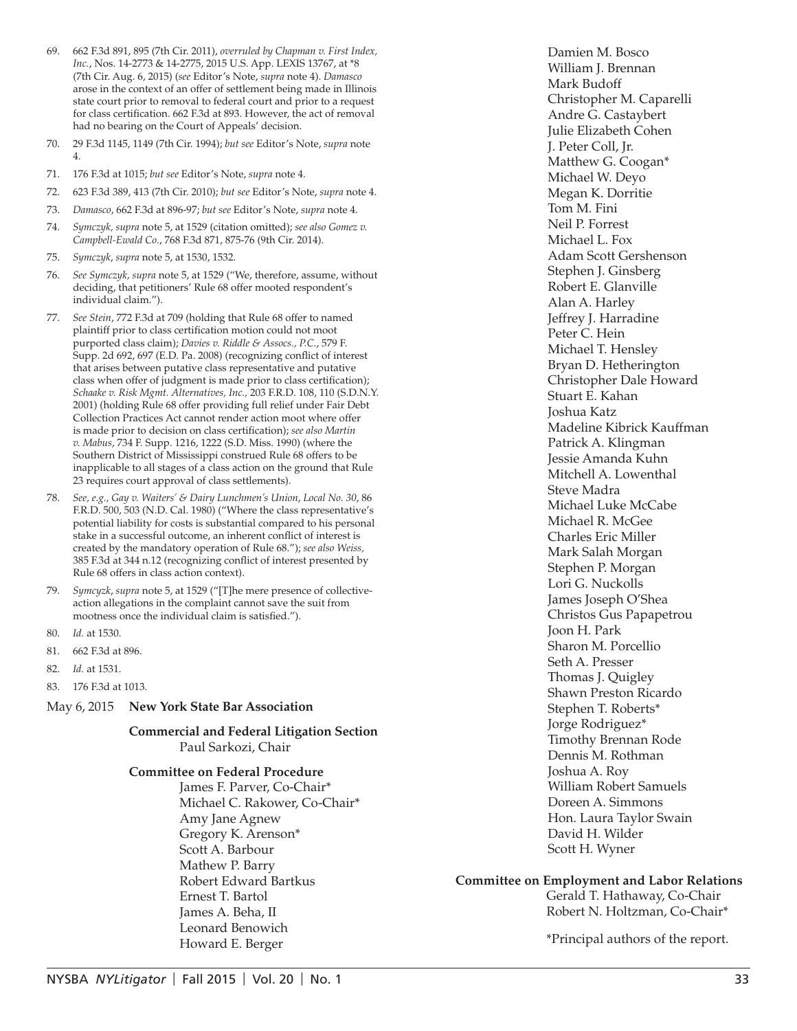- 69. 662 F.3d 891, 895 (7th Cir. 2011), *overruled by Chapman v. First Index, Inc.*, Nos. 14-2773 & 14-2775, 2015 U.S. App. LEXIS 13767, at \*8 (7th Cir. Aug. 6, 2015) (*see* Editor's Note, *supra* note 4). *Damasco*  arose in the context of an offer of settlement being made in Illinois state court prior to removal to federal court and prior to a request for class certification. 662 F.3d at 893. However, the act of removal had no bearing on the Court of Appeals' decision.
- 70. 29 F.3d 1145, 1149 (7th Cir. 1994); *but see* Editor's Note, *supra* note 4.
- 71. 176 F.3d at 1015; *but see* Editor's Note, *supra* note 4.
- 72. 623 F.3d 389, 413 (7th Cir. 2010); *but see* Editor's Note, *supra* note 4.
- 73. *Damasco*, 662 F.3d at 896-97; *but see* Editor's Note, *supra* note 4.
- 74. *Symczyk, supra* note 5, at 1529 (citation omitted); *see also Gomez v. Campbell-Ewald Co.*, 768 F.3d 871, 875-76 (9th Cir. 2014).
- 75. *Symczyk*, *supra* note 5, at 1530, 1532.
- 76. *See Symczyk, supra* note 5, at 1529 ("We, therefore, assume, without deciding, that petitioners' Rule 68 offer mooted respondent's individual claim.").
- 77. *See Stein*, 772 F.3d at 709 (holding that Rule 68 offer to named plaintiff prior to class certification motion could not moot purported class claim); *Davies v. Riddle & Assocs., P.C.*, 579 F. Supp. 2d 692, 697 (E.D. Pa. 2008) (recognizing conflict of interest that arises between putative class representative and putative class when offer of judgment is made prior to class certification); *Schaake v. Risk Mgmt. Alternatives, Inc.,* 203 F.R.D. 108, 110 (S.D.N.Y. 2001) (holding Rule 68 offer providing full relief under Fair Debt Collection Practices Act cannot render action moot where offer is made prior to decision on class certification); see also Martin *v. Mabus*, 734 F. Supp. 1216, 1222 (S.D. Miss. 1990) (where the Southern District of Mississippi construed Rule 68 offers to be inapplicable to all stages of a class action on the ground that Rule 23 requires court approval of class settlements).
- 78. *See, e.g., Gay v. Waiters' & Dairy Lunchmen's Union*, *Local No. 30*, 86 F.R.D. 500, 503 (N.D. Cal. 1980) ("Where the class representative's potential liability for costs is substantial compared to his personal stake in a successful outcome, an inherent conflict of interest is created by the mandatory operation of Rule 68."); *see also Weiss,*  385 F.3d at 344 n.12 (recognizing conflict of interest presented by Rule 68 offers in class action context).
- 79. *Symcyzk*, *supra* note 5, at 1529 ("[T]he mere presence of collectiveaction allegations in the complaint cannot save the suit from mootness once the individual claim is satisfied.").
- 80. *Id.* at 1530.
- 81. 662 F.3d at 896.
- 82. *Id.* at 1531.
- 83. 176 F.3d at 1013.
- May 6, 2015 **New York State Bar Association**

#### **Commercial and Federal Litigation Section** Paul Sarkozi, Chair

#### **Committee on Federal Procedure**

 James F. Parver, Co-Chair\* Michael C. Rakower, Co-Chair\* Amy Jane Agnew Gregory K. Arenson\* Scott A. Barbour Mathew P. Barry Robert Edward Bartkus Ernest T. Bartol James A. Beha, II Leonard Benowich Howard E. Berger

 Damien M. Bosco William J. Brennan Mark Budoff Christopher M. Caparelli Andre G. Castaybert Julie Elizabeth Cohen J. Peter Coll, Jr. Matthew G. Coogan\* Michael W. Deyo Megan K. Dorritie Tom M. Fini Neil P. Forrest Michael L. Fox Adam Scott Gershenson Stephen J. Ginsberg Robert E. Glanville Alan A. Harley Jeffrey J. Harradine Peter C. Hein Michael T. Hensley Bryan D. Hetherington Christopher Dale Howard Stuart E. Kahan Joshua Katz Madeline Kibrick Kauffman Patrick A. Klingman Jessie Amanda Kuhn Mitchell A. Lowenthal Steve Madra Michael Luke McCabe Michael R. McGee Charles Eric Miller Mark Salah Morgan Stephen P. Morgan Lori G. Nuckolls James Joseph O'Shea Christos Gus Papapetrou Joon H. Park Sharon M. Porcellio Seth A. Presser Thomas J. Quigley Shawn Preston Ricardo Stephen T. Roberts\* Jorge Rodriguez\* Timothy Brennan Rode Dennis M. Rothman Joshua A. Roy William Robert Samuels Doreen A. Simmons Hon. Laura Taylor Swain David H. Wilder Scott H. Wyner

#### **Committee on Employment and Labor Relations**

 Gerald T. Hathaway, Co-Chair Robert N. Holtzman, Co-Chair\*

\*Principal authors of the report.